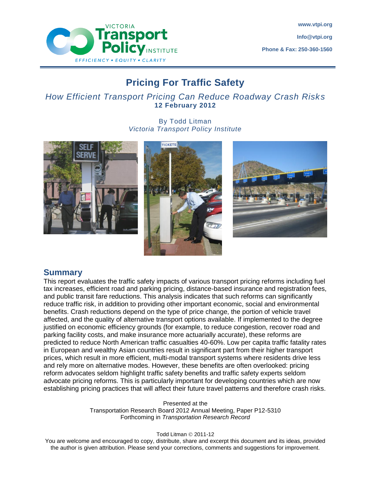

# **Pricing For Traffic Safety**

# *How Efficient Transport Pricing Can Reduce Roadway Crash Risks* **12 February 2012**

By Todd Litman *Victoria Transport Policy Institute*







# **Summary**

This report evaluates the traffic safety impacts of various transport pricing reforms including fuel tax increases, efficient road and parking pricing, distance-based insurance and registration fees, and public transit fare reductions. This analysis indicates that such reforms can significantly reduce traffic risk, in addition to providing other important economic, social and environmental benefits. Crash reductions depend on the type of price change, the portion of vehicle travel affected, and the quality of alternative transport options available. If implemented to the degree justified on economic efficiency grounds (for example, to reduce congestion, recover road and parking facility costs, and make insurance more actuarially accurate), these reforms are predicted to reduce North American traffic casualties 40-60%. Low per capita traffic fatality rates in European and wealthy Asian countries result in significant part from their higher transport prices, which result in more efficient, multi-modal transport systems where residents drive less and rely more on alternative modes. However, these benefits are often overlooked: pricing reform advocates seldom highlight traffic safety benefits and traffic safety experts seldom advocate pricing reforms. This is particularly important for developing countries which are now establishing pricing practices that will affect their future travel patterns and therefore crash risks.

> Presented at the Transportation Research Board 2012 Annual Meeting, Paper P12-5310 Forthcoming in *Transportation Research Record*

> > Todd Litman  $\odot$  2011-12

You are welcome and encouraged to copy, distribute, share and excerpt this document and its ideas, provided the author is given attribution. Please send your corrections, comments and suggestions for improvement.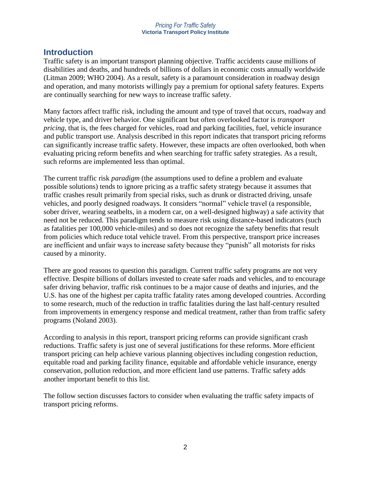# **Introduction**

Traffic safety is an important transport planning objective. Traffic accidents cause millions of disabilities and deaths, and hundreds of billions of dollars in economic costs annually worldwide (Litman 2009; WHO 2004). As a result, safety is a paramount consideration in roadway design and operation, and many motorists willingly pay a premium for optional safety features. Experts are continually searching for new ways to increase traffic safety.

Many factors affect traffic risk, including the amount and type of travel that occurs, roadway and vehicle type, and driver behavior. One significant but often overlooked factor is *transport pricing*, that is, the fees charged for vehicles, road and parking facilities, fuel, vehicle insurance and public transport use. Analysis described in this report indicates that transport pricing reforms can significantly increase traffic safety. However, these impacts are often overlooked, both when evaluating pricing reform benefits and when searching for traffic safety strategies. As a result, such reforms are implemented less than optimal.

The current traffic risk *paradigm* (the assumptions used to define a problem and evaluate possible solutions) tends to ignore pricing as a traffic safety strategy because it assumes that traffic crashes result primarily from special risks, such as drunk or distracted driving, unsafe vehicles, and poorly designed roadways. It considers "normal" vehicle travel (a responsible, sober driver, wearing seatbelts, in a modern car, on a well-designed highway) a safe activity that need not be reduced. This paradigm tends to measure risk using distance-based indicators (such as fatalities per 100,000 vehicle-miles) and so does not recognize the safety benefits that result from policies which reduce total vehicle travel. From this perspective, transport price increases are inefficient and unfair ways to increase safety because they "punish" all motorists for risks caused by a minority.

There are good reasons to question this paradigm. Current traffic safety programs are not very effective. Despite billions of dollars invested to create safer roads and vehicles, and to encourage safer driving behavior, traffic risk continues to be a major cause of deaths and injuries, and the U.S. has one of the highest per capita traffic fatality rates among developed countries. According to some research, much of the reduction in traffic fatalities during the last half-century resulted from improvements in emergency response and medical treatment, rather than from traffic safety programs (Noland 2003).

According to analysis in this report, transport pricing reforms can provide significant crash reductions. Traffic safety is just one of several justifications for these reforms. More efficient transport pricing can help achieve various planning objectives including congestion reduction, equitable road and parking facility finance, equitable and affordable vehicle insurance, energy conservation, pollution reduction, and more efficient land use patterns. Traffic safety adds another important benefit to this list.

The follow section discusses factors to consider when evaluating the traffic safety impacts of transport pricing reforms.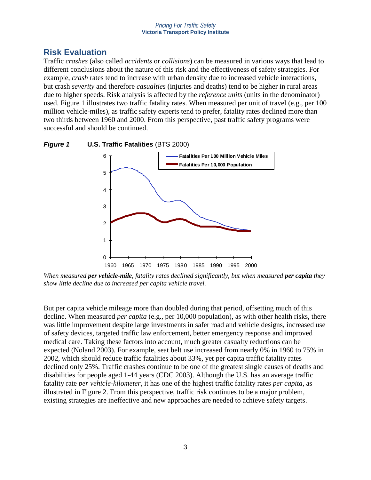# **Risk Evaluation**

Traffic *crashes* (also called *accidents* or *collisions*) can be measured in various ways that lead to different conclusions about the nature of this risk and the effectiveness of safety strategies. For example, *crash* rates tend to increase with urban density due to increased vehicle interactions, but crash *severity* and therefore *casualties* (injuries and deaths) tend to be higher in rural areas due to higher speeds. Risk analysis is affected by the *reference units* (units in the denominator) used. Figure 1 illustrates two traffic fatality rates. When measured per unit of travel (e.g., per 100 million vehicle-miles), as traffic safety experts tend to prefer, fatality rates declined more than two thirds between 1960 and 2000. From this perspective, past traffic safety programs were successful and should be continued.





*When measured per vehicle-mile, fatality rates declined significantly, but when measured per capita they show little decline due to increased per capita vehicle travel.*

But per capita vehicle mileage more than doubled during that period, offsetting much of this decline. When measured *per capita* (e.g., per 10,000 population), as with other health risks, there was little improvement despite large investments in safer road and vehicle designs, increased use of safety devices, targeted traffic law enforcement, better emergency response and improved medical care. Taking these factors into account, much greater casualty reductions can be expected (Noland 2003). For example, seat belt use increased from nearly 0% in 1960 to 75% in 2002, which should reduce traffic fatalities about 33%, yet per capita traffic fatality rates declined only 25%. Traffic crashes continue to be one of the greatest single causes of deaths and disabilities for people aged 1-44 years (CDC 2003). Although the U.S. has an average traffic fatality rate *per vehicle-kilometer*, it has one of the highest traffic fatality rates *per capita*, as illustrated in Figure 2. From this perspective, traffic risk continues to be a major problem, existing strategies are ineffective and new approaches are needed to achieve safety targets.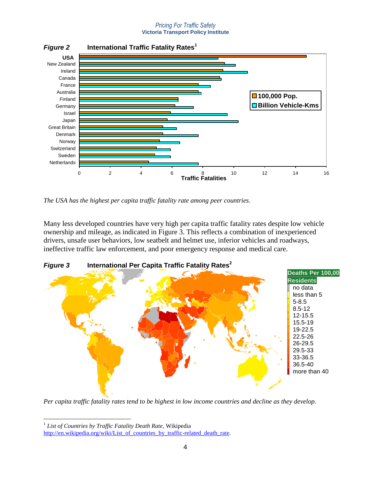

*Figure 2* **International Traffic Fatality Rates<sup>1</sup>**

*The USA has the highest per capita traffic fatality rate among peer countries.* 

Many less developed countries have very high per capita traffic fatality rates despite low vehicle ownership and mileage, as indicated in Figure 3. This reflects a combination of inexperienced drivers, unsafe user behaviors, low seatbelt and helmet use, inferior vehicles and roadways, ineffective traffic law enforcement, and poor emergency response and medical care.



*Figure 3* **International Per Capita Traffic Fatality Rates<sup>2</sup>**

*Per capita traffic fatality rates tend to be highest in low income countries and decline as they develop.* 

 $\overline{a}$ 1 *List of Countries by Traffic Fatality Death Rate*, Wikipedia

[http://en.wikipedia.org/wiki/List\\_of\\_countries\\_by\\_traffic-related\\_death\\_rate.](http://en.wikipedia.org/wiki/List_of_countries_by_traffic-related_death_rate)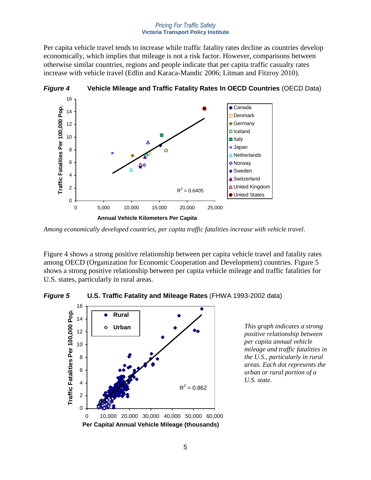Per capita vehicle travel tends to increase while traffic fatality rates decline as countries develop economically, which implies that mileage is not a risk factor. However, comparisons between otherwise similar countries, regions and people indicate that per capita traffic casualty rates increase with vehicle travel (Edlin and Karaca-Mandic 2006; Litman and Fitzroy 2010).



*Figure 4* **Vehicle Mileage and Traffic Fatality Rates In OECD Countries** (OECD Data)

Figure 4 shows a strong positive relationship between per capita vehicle travel and fatality rates among OECD (Organization for Economic Cooperation and Development) countries. Figure 5 shows a strong positive relationship between per capita vehicle mileage and traffic fatalities for U.S. states, particularly in rural areas.

*Figure 5* **U.S. Traffic Fatality and Mileage Rates** (FHWA 1993-2002 data)



*This graph indicates a strong positive relationship between per capita annual vehicle mileage and traffic fatalities in the U.S., particularly in rural areas. Each dot represents the urban or rural portion of a U.S. state.*

*Among economically developed countries, per capita traffic fatalities increase with vehicle travel.*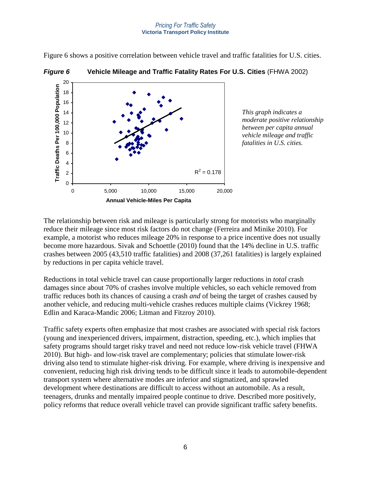20 Traffic Deaths Per 100,000 Population **Traffic Deaths Per 100,000 Population** 18 16 14 12 10 8 6 4  $R^2 = 0.178$ 2  $\Omega$ 0 5,000 10,000 15,000 20,000 **Annual Vehicle-Miles Per Capita**

# *Figure 6* **Vehicle Mileage and Traffic Fatality Rates For U.S. Cities** (FHWA 2002)

Figure 6 shows a positive correlation between vehicle travel and traffic fatalities for U.S. cities.

*This graph indicates a moderate positive relationship between per capita annual vehicle mileage and traffic fatalities in U.S. cities.*

The relationship between risk and mileage is particularly strong for motorists who marginally reduce their mileage since most risk factors do not change (Ferreira and Minike 2010). For example, a motorist who reduces mileage 20% in response to a price incentive does not usually become more hazardous. Sivak and Schoettle (2010) found that the 14% decline in U.S. traffic crashes between 2005 (43,510 traffic fatalities) and 2008 (37,261 fatalities) is largely explained by reductions in per capita vehicle travel.

Reductions in total vehicle travel can cause proportionally larger reductions in *total* crash damages since about 70% of crashes involve multiple vehicles, so each vehicle removed from traffic reduces both its chances of causing a crash *and* of being the target of crashes caused by another vehicle, and reducing multi-vehicle crashes reduces multiple claims (Vickrey 1968; Edlin and Karaca-Mandic 2006; Litman and Fitzroy 2010).

Traffic safety experts often emphasize that most crashes are associated with special risk factors (young and inexperienced drivers, impairment, distraction, speeding, etc.), which implies that safety programs should target risky travel and need not reduce low-risk vehicle travel (FHWA 2010). But high- and low-risk travel are complementary; policies that stimulate lower-risk driving also tend to stimulate higher-risk driving. For example, where driving is inexpensive and convenient, reducing high risk driving tends to be difficult since it leads to automobile-dependent transport system where alternative modes are inferior and stigmatized, and sprawled development where destinations are difficult to access without an automobile. As a result, teenagers, drunks and mentally impaired people continue to drive. Described more positively, policy reforms that reduce overall vehicle travel can provide significant traffic safety benefits.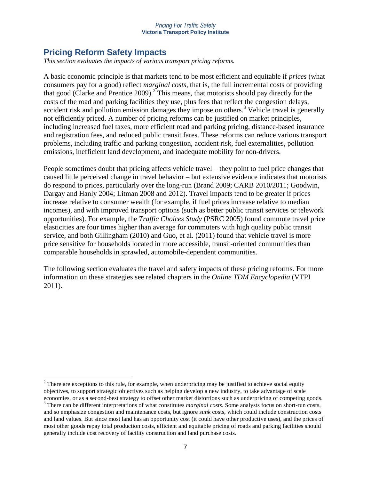# **Pricing Reform Safety Impacts**

*This section evaluates the impacts of various transport pricing reforms.*

A basic economic principle is that markets tend to be most efficient and equitable if *prices* (what consumers pay for a good) reflect *marginal costs*, that is, the full incremental costs of providing that good (Clarke and Prentice 2009).<sup>2</sup> This means, that motorists should pay directly for the costs of the road and parking facilities they use, plus fees that reflect the congestion delays, accident risk and pollution emission damages they impose on others. <sup>3</sup> Vehicle travel is generally not efficiently priced. A number of pricing reforms can be justified on market principles, including increased fuel taxes, more efficient road and parking pricing, distance-based insurance and registration fees, and reduced public transit fares. These reforms can reduce various transport problems, including traffic and parking congestion, accident risk, fuel externalities, pollution emissions, inefficient land development, and inadequate mobility for non-drivers.

People sometimes doubt that pricing affects vehicle travel – they point to fuel price changes that caused little perceived change in travel behavior – but extensive evidence indicates that motorists do respond to prices, particularly over the long-run (Brand 2009; CARB 2010/2011; Goodwin, Dargay and Hanly 2004; Litman 2008 and 2012). Travel impacts tend to be greater if prices increase relative to consumer wealth (for example, if fuel prices increase relative to median incomes), and with improved transport options (such as better public transit services or telework opportunities). For example, the *Traffic Choices Study* (PSRC 2005) found commute travel price elasticities are four times higher than average for commuters with high quality public transit service, and both Gillingham (2010) and Guo, et al. (2011) found that vehicle travel is more price sensitive for households located in more accessible, transit-oriented communities than comparable households in sprawled, automobile-dependent communities.

The following section evaluates the travel and safety impacts of these pricing reforms. For more information on these strategies see related chapters in the *Online TDM Encyclopedia* (VTPI 2011).

 $\overline{a}$  $2$  There are exceptions to this rule, for example, when underpricing may be justified to achieve social equity objectives, to support strategic objectives such as helping develop a new industry, to take advantage of scale economies, or as a second-best strategy to offset other market distortions such as underpricing of competing goods.

<sup>3</sup> There can be different interpretations of what constitutes *marginal costs*. Some analysts focus on short-run costs, and so emphasize congestion and maintenance costs, but ignore *sunk* costs, which could include construction costs and land values. But since most land has an opportunity cost (it could have other productive uses), and the prices of most other goods repay total production costs, efficient and equitable pricing of roads and parking facilities should generally include cost recovery of facility construction and land purchase costs.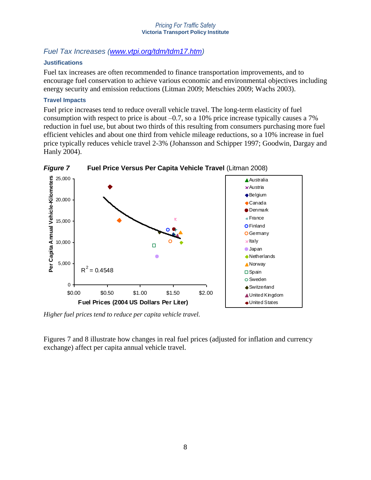# *Fuel Tax Increases [\(www.vtpi.org/tdm/tdm17.htm\)](http://www.vtpi.org/tdm/tdm17.htm)*

## **Justifications**

Fuel tax increases are often recommended to finance transportation improvements, and to encourage fuel conservation to achieve various economic and environmental objectives including energy security and emission reductions (Litman 2009; Metschies 2009; Wachs 2003).

## **Travel Impacts**

Fuel price increases tend to reduce overall vehicle travel. The long-term elasticity of fuel consumption with respect to price is about –0.7, so a 10% price increase typically causes a 7% reduction in fuel use, but about two thirds of this resulting from consumers purchasing more fuel efficient vehicles and about one third from vehicle mileage reductions, so a 10% increase in fuel price typically reduces vehicle travel 2-3% (Johansson and Schipper 1997; Goodwin, Dargay and Hanly 2004).



*Figure 7* **Fuel Price Versus Per Capita Vehicle Travel** (Litman 2008)

*Higher fuel prices tend to reduce per capita vehicle travel.*

Figures 7 and 8 illustrate how changes in real fuel prices (adjusted for inflation and currency exchange) affect per capita annual vehicle travel.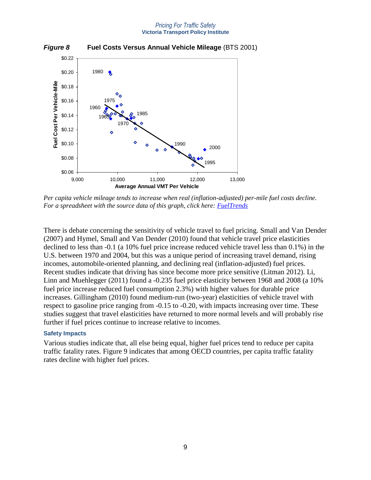

*Figure 8* **Fuel Costs Versus Annual Vehicle Mileage** (BTS 2001)

*Per capita vehicle mileage tends to increase when real (inflation-adjusted) per-mile fuel costs decline. For a spreadsheet with the source data of this graph, click here: [FuelTrends](http://www.vtpi.org/fueltrends.xls)*

There is debate concerning the sensitivity of vehicle travel to fuel pricing. Small and Van Dender (2007) and Hymel, Small and Van Dender (2010) found that vehicle travel price elasticities declined to less than -0.1 (a 10% fuel price increase reduced vehicle travel less than 0.1%) in the U.S. between 1970 and 2004, but this was a unique period of increasing travel demand, rising incomes, automobile-oriented planning, and declining real (inflation-adjusted) fuel prices. Recent studies indicate that driving has since become more price sensitive (Litman 2012). Li, Linn and Muehlegger (2011) found a -0.235 fuel price elasticity between 1968 and 2008 (a 10% fuel price increase reduced fuel consumption 2.3%) with higher values for durable price increases. Gillingham (2010) found medium-run (two-year) elasticities of vehicle travel with respect to gasoline price ranging from -0.15 to -0.20, with impacts increasing over time. These studies suggest that travel elasticities have returned to more normal levels and will probably rise further if fuel prices continue to increase relative to incomes.

#### **Safety Impacts**

Various studies indicate that, all else being equal, higher fuel prices tend to reduce per capita traffic fatality rates. Figure 9 indicates that among OECD countries, per capita traffic fatality rates decline with higher fuel prices.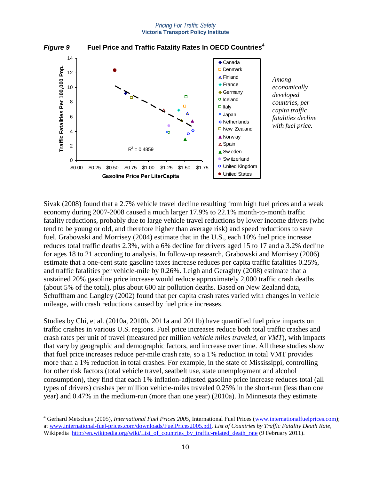

### *Figure 9* **Fuel Price and Traffic Fatality Rates In OECD Countries<sup>4</sup>**

*economically developed countries, per capita traffic fatalities decline with fuel price.*

Sivak (2008) found that a 2.7% vehicle travel decline resulting from high fuel prices and a weak economy during 2007-2008 caused a much larger 17.9% to 22.1% month-to-month traffic fatality reductions, probably due to large vehicle travel reductions by lower income drivers (who tend to be young or old, and therefore higher than average risk) and speed reductions to save fuel. Grabowski and Morrisey (2004) estimate that in the U.S., each 10% fuel price increase reduces total traffic deaths 2.3%, with a 6% decline for drivers aged 15 to 17 and a 3.2% decline for ages 18 to 21 according to analysis. In follow-up research, Grabowski and Morrisey (2006) estimate that a one-cent state gasoline taxes increase reduces per capita traffic fatalities 0.25%, and traffic fatalities per vehicle-mile by 0.26%. Leigh and Geraghty (2008) estimate that a sustained 20% gasoline price increase would reduce approximately 2,000 traffic crash deaths (about 5% of the total), plus about 600 air pollution deaths. Based on New Zealand data, Schuffham and Langley (2002) found that per capita crash rates varied with changes in vehicle mileage, with crash reductions caused by fuel price increases.

Studies by Chi, et al. (2010a, 2010b, 2011a and 2011b) have quantified fuel price impacts on traffic crashes in various U.S. regions. Fuel price increases reduce both total traffic crashes and crash rates per unit of travel (measured per million *vehicle miles traveled*, or *VMT*), with impacts that vary by geographic and demographic factors, and increase over time. All these studies show that fuel price increases reduce per-mile crash rate, so a 1% reduction in total VMT provides more than a 1% reduction in total crashes. For example, in the state of Mississippi, controlling for other risk factors (total vehicle travel, seatbelt use, state unemployment and alcohol consumption), they find that each 1% inflation-adjusted gasoline price increase reduces total (all types of drivers) crashes per million vehicle-miles traveled 0.25% in the short-run (less than one year) and 0.47% in the medium-run (more than one year) (2010a). In Minnesota they estimate

 $\overline{a}$ 

<sup>&</sup>lt;sup>4</sup> Gerhard Metschies (2005), *International Fuel Prices 2005*, International Fuel Prices [\(www.internationalfuelprices.com\)](http://www.internationalfuelprices.com/); a[t www.international-fuel-prices.com/downloads/FuelPrices2005.pdf.](http://www.international-fuel-prices.com/downloads/FuelPrices2005.pdf) *List of Countries by Traffic Fatality Death Rate*, Wikipedia [http://en.wikipedia.org/wiki/List\\_of\\_countries\\_by\\_traffic-related\\_death\\_rate](http://en.wikipedia.org/wiki/List_of_countries_by_traffic-related_death_rate) (9 February 2011).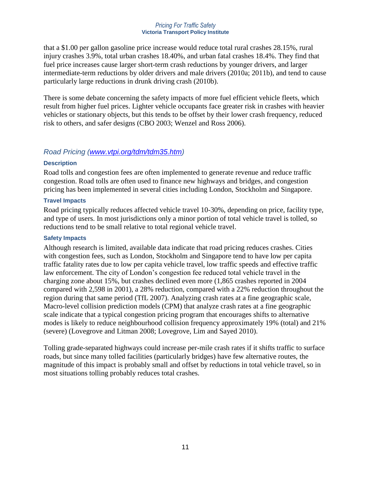that a \$1.00 per gallon gasoline price increase would reduce total rural crashes 28.15%, rural injury crashes 3.9%, total urban crashes 18.40%, and urban fatal crashes 18.4%. They find that fuel price increases cause larger short-term crash reductions by younger drivers, and larger intermediate-term reductions by older drivers and male drivers (2010a; 2011b), and tend to cause particularly large reductions in drunk driving crash (2010b).

There is some debate concerning the safety impacts of more fuel efficient vehicle fleets, which result from higher fuel prices. Lighter vehicle occupants face greater risk in crashes with heavier vehicles or stationary objects, but this tends to be offset by their lower crash frequency, reduced risk to others, and safer designs (CBO 2003; Wenzel and Ross 2006).

# *Road Pricing [\(www.vtpi.org/tdm/tdm35.htm\)](http://www.vtpi.org/tdm/tdm35.htm)*

## **Description**

Road tolls and congestion fees are often implemented to generate revenue and reduce traffic congestion. Road tolls are often used to finance new highways and bridges, and congestion pricing has been implemented in several cities including London, Stockholm and Singapore.

## **Travel Impacts**

Road pricing typically reduces affected vehicle travel 10-30%, depending on price, facility type, and type of users. In most jurisdictions only a minor portion of total vehicle travel is tolled, so reductions tend to be small relative to total regional vehicle travel.

## **Safety Impacts**

Although research is limited, available data indicate that road pricing reduces crashes. Cities with congestion fees, such as London, Stockholm and Singapore tend to have low per capita traffic fatality rates due to low per capita vehicle travel, low traffic speeds and effective traffic law enforcement. The city of London's congestion fee reduced total vehicle travel in the charging zone about 15%, but crashes declined even more (1,865 crashes reported in 2004 compared with 2,598 in 2001), a 28% reduction, compared with a 22% reduction throughout the region during that same period (TfL 2007). Analyzing crash rates at a fine geographic scale, Macro-level collision prediction models (CPM) that analyze crash rates at a fine geographic scale indicate that a typical congestion pricing program that encourages shifts to alternative modes is likely to reduce neighbourhood collision frequency approximately 19% (total) and 21% (severe) (Lovegrove and Litman 2008; Lovegrove, Lim and Sayed 2010).

Tolling grade-separated highways could increase per-mile crash rates if it shifts traffic to surface roads, but since many tolled facilities (particularly bridges) have few alternative routes, the magnitude of this impact is probably small and offset by reductions in total vehicle travel, so in most situations tolling probably reduces total crashes.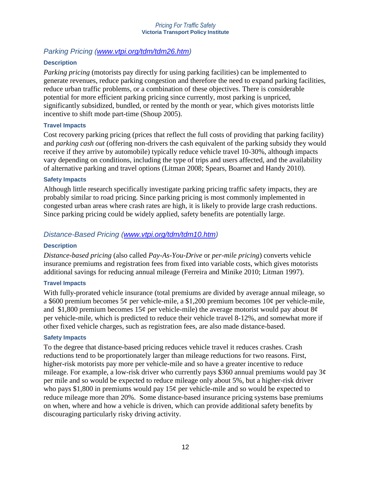# *Parking Pricing [\(www.vtpi.org/tdm/tdm26.htm\)](http://www.vtpi.org/tdm/tdm26.htm)*

# **Description**

*Parking pricing* (motorists pay directly for using parking facilities) can be implemented to generate revenues, reduce parking congestion and therefore the need to expand parking facilities, reduce urban traffic problems, or a combination of these objectives. There is considerable potential for more efficient parking pricing since currently, most parking is unpriced, significantly subsidized, bundled, or rented by the month or year, which gives motorists little incentive to shift mode part-time (Shoup 2005).

# **Travel Impacts**

Cost recovery parking pricing (prices that reflect the full costs of providing that parking facility) and *parking cash out* (offering non-drivers the cash equivalent of the parking subsidy they would receive if they arrive by automobile) typically reduce vehicle travel 10-30%, although impacts vary depending on conditions, including the type of trips and users affected, and the availability of alternative parking and travel options (Litman 2008; Spears, Boarnet and Handy 2010).

## **Safety Impacts**

Although little research specifically investigate parking pricing traffic safety impacts, they are probably similar to road pricing. Since parking pricing is most commonly implemented in congested urban areas where crash rates are high, it is likely to provide large crash reductions. Since parking pricing could be widely applied, safety benefits are potentially large.

# *Distance-Based Pricing [\(www.vtpi.org/tdm/tdm10.htm\)](http://www.vtpi.org/tdm/tdm10.htm)*

### **Description**

*Distance-based pricing* (also called *Pay-As-You-Drive* or *per-mile pricing*) converts vehicle insurance premiums and registration fees from fixed into variable costs, which gives motorists additional savings for reducing annual mileage (Ferreira and Minike 2010; Litman 1997).

### **Travel Impacts**

With fully-prorated vehicle insurance (total premiums are divided by average annual mileage, so a \$600 premium becomes 5¢ per vehicle-mile, a \$1,200 premium becomes 10¢ per vehicle-mile, and \$1,800 premium becomes 15 $\varphi$  per vehicle-mile) the average motorist would pay about 8 $\varphi$ per vehicle-mile, which is predicted to reduce their vehicle travel 8-12%, and somewhat more if other fixed vehicle charges, such as registration fees, are also made distance-based.

### **Safety Impacts**

To the degree that distance-based pricing reduces vehicle travel it reduces crashes. Crash reductions tend to be proportionately larger than mileage reductions for two reasons. First, higher-risk motorists pay more per vehicle-mile and so have a greater incentive to reduce mileage. For example, a low-risk driver who currently pays \$360 annual premiums would pay  $3¢$ per mile and so would be expected to reduce mileage only about 5%, but a higher-risk driver who pays \$1,800 in premiums would pay  $15¢$  per vehicle-mile and so would be expected to reduce mileage more than 20%. Some distance-based insurance pricing systems base premiums on when, where and how a vehicle is driven, which can provide additional safety benefits by discouraging particularly risky driving activity.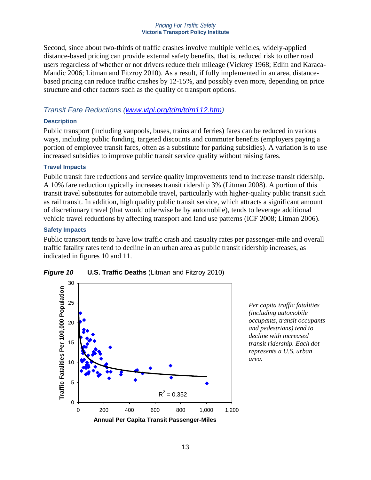Second, since about two-thirds of traffic crashes involve multiple vehicles, widely-applied distance-based pricing can provide external safety benefits, that is, reduced risk to other road users regardless of whether or not drivers reduce their mileage (Vickrey 1968; Edlin and Karaca-Mandic 2006; Litman and Fitzroy 2010). As a result, if fully implemented in an area, distancebased pricing can reduce traffic crashes by 12-15%, and possibly even more, depending on price structure and other factors such as the quality of transport options.

# *Transit Fare Reductions [\(www.vtpi.org/tdm/tdm112.htm\)](http://www.vtpi.org/tdm/tdm112.htm)*

### **Description**

Public transport (including vanpools, buses, trains and ferries) fares can be reduced in various ways, including public funding, targeted discounts and commuter benefits (employers paying a portion of employee transit fares, often as a substitute for parking subsidies). A variation is to use increased subsidies to improve public transit service quality without raising fares.

## **Travel Impacts**

Public transit fare reductions and service quality improvements tend to increase transit ridership. A 10% fare reduction typically increases transit ridership 3% (Litman 2008). A portion of this transit travel substitutes for automobile travel, particularly with higher-quality public transit such as rail transit. In addition, high quality public transit service, which attracts a significant amount of discretionary travel (that would otherwise be by automobile), tends to leverage additional vehicle travel reductions by affecting transport and land use patterns (ICF 2008; Litman 2006).

### **Safety Impacts**

Public transport tends to have low traffic crash and casualty rates per passenger-mile and overall traffic fatality rates tend to decline in an urban area as public transit ridership increases, as indicated in figures 10 and 11.





*Per capita traffic fatalities (including automobile occupants, transit occupants and pedestrians) tend to decline with increased transit ridership. Each dot represents a U.S. urban area.*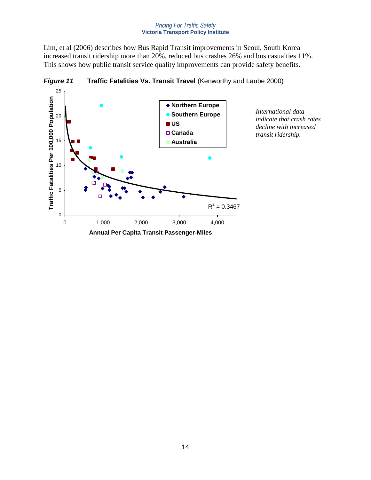*International data indicate that crash rates decline with increased transit ridership.*

Lim, et al (2006) describes how Bus Rapid Transit improvements in Seoul, South Korea increased transit ridership more than 20%, reduced bus crashes 26% and bus casualties 11%. This shows how public transit service quality improvements can provide safety benefits.

**Figure 11 Traffic Fatalities Vs. Transit Travel** (Kenworthy and Laube 2000)

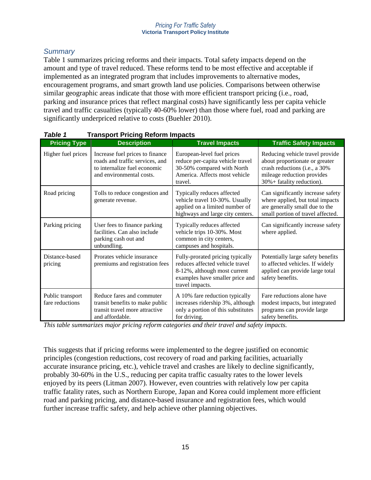# *Summary*

Table 1 summarizes pricing reforms and their impacts. Total safety impacts depend on the amount and type of travel reduced. These reforms tend to be most effective and acceptable if implemented as an integrated program that includes improvements to alternative modes, encouragement programs, and smart growth land use policies. Comparisons between otherwise similar geographic areas indicate that those with more efficient transport pricing (i.e., road, parking and insurance prices that reflect marginal costs) have significantly less per capita vehicle travel and traffic casualties (typically 40-60% lower) than those where fuel, road and parking are significantly underpriced relative to costs (Buehler 2010).

| <b>Pricing Type</b>                 | <b>Description</b>                                                                                                             | <b>Travel Impacts</b>                                                                                                                                     | <b>Traffic Safety Impacts</b>                                                                                                                                 |
|-------------------------------------|--------------------------------------------------------------------------------------------------------------------------------|-----------------------------------------------------------------------------------------------------------------------------------------------------------|---------------------------------------------------------------------------------------------------------------------------------------------------------------|
| Higher fuel prices                  | Increase fuel prices to finance<br>roads and traffic services, and<br>to internalize fuel economic<br>and environmental costs. | European-level fuel prices<br>reduce per-capita vehicle travel<br>30-50% compared with North<br>America. Affects most vehicle<br>travel.                  | Reducing vehicle travel provide<br>about proportionate or greater<br>crash reductions (i.e., a 30%<br>mileage reduction provides<br>30%+ fatality reduction). |
| Road pricing                        | Tolls to reduce congestion and<br>generate revenue.                                                                            | Typically reduces affected<br>vehicle travel 10-30%. Usually<br>applied on a limited number of<br>highways and large city centers.                        | Can significantly increase safety<br>where applied, but total impacts<br>are generally small due to the<br>small portion of travel affected.                  |
| Parking pricing                     | User fees to finance parking<br>facilities. Can also include<br>parking cash out and<br>unbundling.                            | Typically reduces affected<br>vehicle trips 10-30%. Most<br>common in city centers,<br>campuses and hospitals.                                            | Can significantly increase safety<br>where applied.                                                                                                           |
| Distance-based<br>pricing           | Prorates vehicle insurance<br>premiums and registration fees                                                                   | Fully-prorated pricing typically<br>reduces affected vehicle travel<br>8-12%, although most current<br>examples have smaller price and<br>travel impacts. | Potentially large safety benefits<br>to affected vehicles. If widely<br>applied can provide large total<br>safety benefits.                                   |
| Public transport<br>fare reductions | Reduce fares and commuter<br>transit benefits to make public<br>transit travel more attractive<br>and affordable.              | A 10% fare reduction typically<br>increases ridership 3%, although<br>only a portion of this substitutes<br>for driving.                                  | Fare reductions alone have<br>modest impacts, but integrated<br>programs can provide large<br>safety benefits.                                                |

## *Table 1* **Transport Pricing Reform Impacts**

*This table summarizes major pricing reform categories and their travel and safety impacts.* 

This suggests that if pricing reforms were implemented to the degree justified on economic principles (congestion reductions, cost recovery of road and parking facilities, actuarially accurate insurance pricing, etc.), vehicle travel and crashes are likely to decline significantly, probably 30-60% in the U.S., reducing per capita traffic casualty rates to the lower levels enjoyed by its peers (Litman 2007). However, even countries with relatively low per capita traffic fatality rates, such as Northern Europe, Japan and Korea could implement more efficient road and parking pricing, and distance-based insurance and registration fees, which would further increase traffic safety, and help achieve other planning objectives.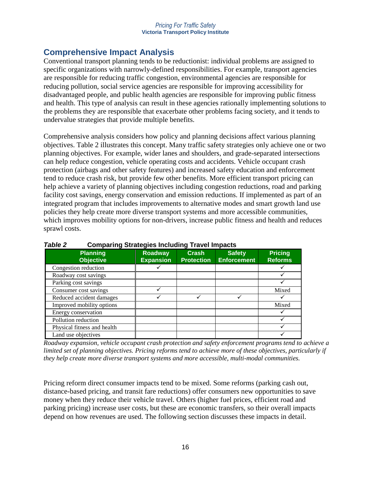# **Comprehensive Impact Analysis**

Conventional transport planning tends to be reductionist: individual problems are assigned to specific organizations with narrowly-defined responsibilities. For example, transport agencies are responsible for reducing traffic congestion, environmental agencies are responsible for reducing pollution, social service agencies are responsible for improving accessibility for disadvantaged people, and public health agencies are responsible for improving public fitness and health. This type of analysis can result in these agencies rationally implementing solutions to the problems they are responsible that exacerbate other problems facing society, and it tends to undervalue strategies that provide multiple benefits.

Comprehensive analysis considers how policy and planning decisions affect various planning objectives. Table 2 illustrates this concept. Many traffic safety strategies only achieve one or two planning objectives. For example, wider lanes and shoulders, and grade-separated intersections can help reduce congestion, vehicle operating costs and accidents. Vehicle occupant crash protection (airbags and other safety features) and increased safety education and enforcement tend to reduce crash risk, but provide few other benefits. More efficient transport pricing can help achieve a variety of planning objectives including congestion reductions, road and parking facility cost savings, energy conservation and emission reductions. If implemented as part of an integrated program that includes improvements to alternative modes and smart growth land use policies they help create more diverse transport systems and more accessible communities, which improves mobility options for non-drivers, increase public fitness and health and reduces sprawl costs.

| I UNIT L<br>comparing otrategies including maver impacts |                                    |                                   |                                     |                                  |  |
|----------------------------------------------------------|------------------------------------|-----------------------------------|-------------------------------------|----------------------------------|--|
| <b>Planning</b><br><b>Objective</b>                      | <b>Roadway</b><br><b>Expansion</b> | <b>Crash</b><br><b>Protection</b> | <b>Safety</b><br><b>Enforcement</b> | <b>Pricing</b><br><b>Reforms</b> |  |
| Congestion reduction                                     |                                    |                                   |                                     |                                  |  |
| Roadway cost savings                                     |                                    |                                   |                                     |                                  |  |
| Parking cost savings                                     |                                    |                                   |                                     |                                  |  |
| Consumer cost savings                                    |                                    |                                   |                                     | Mixed                            |  |
| Reduced accident damages                                 |                                    |                                   |                                     |                                  |  |
| Improved mobility options                                |                                    |                                   |                                     | Mixed                            |  |
| Energy conservation                                      |                                    |                                   |                                     |                                  |  |
| Pollution reduction                                      |                                    |                                   |                                     |                                  |  |
| Physical fitness and health                              |                                    |                                   |                                     |                                  |  |
| Land use objectives                                      |                                    |                                   |                                     |                                  |  |

# *Table 2* **Comparing Strategies Including Travel Impacts**

*Roadway expansion, vehicle occupant crash protection and safety enforcement programs tend to achieve a limited set of planning objectives. Pricing reforms tend to achieve more of these objectives, particularly if they help create more diverse transport systems and more accessible, multi-modal communities.*

Pricing reform direct consumer impacts tend to be mixed. Some reforms (parking cash out, distance-based pricing, and transit fare reductions) offer consumers new opportunities to save money when they reduce their vehicle travel. Others (higher fuel prices, efficient road and parking pricing) increase user costs, but these are economic transfers, so their overall impacts depend on how revenues are used. The following section discusses these impacts in detail.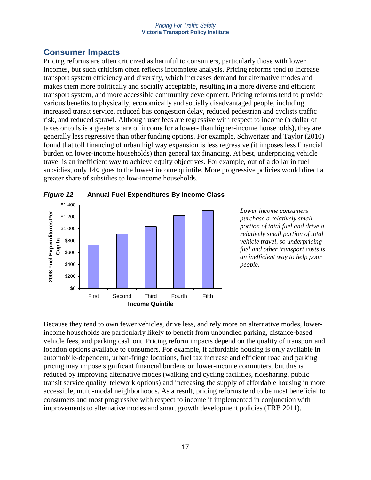# **Consumer Impacts**

Pricing reforms are often criticized as harmful to consumers, particularly those with lower incomes, but such criticism often reflects incomplete analysis. Pricing reforms tend to increase transport system efficiency and diversity, which increases demand for alternative modes and makes them more politically and socially acceptable, resulting in a more diverse and efficient transport system, and more accessible community development. Pricing reforms tend to provide various benefits to physically, economically and socially disadvantaged people, including increased transit service, reduced bus congestion delay, reduced pedestrian and cyclists traffic risk, and reduced sprawl. Although user fees are regressive with respect to income (a dollar of taxes or tolls is a greater share of income for a lower- than higher-income households), they are generally less regressive than other funding options. For example, Schweitzer and Taylor (2010) found that toll financing of urban highway expansion is less regressive (it imposes less financial burden on lower-income households) than general tax financing. At best, underpricing vehicle travel is an inefficient way to achieve equity objectives. For example, out of a dollar in fuel subsidies, only  $14¢$  goes to the lowest income quintile. More progressive policies would direct a greater share of subsidies to low-income households.





*Lower income consumers purchase a relatively small portion of total fuel and drive a relatively small portion of total vehicle travel, so underpricing fuel and other transport costs is an inefficient way to help poor people.*

Because they tend to own fewer vehicles, drive less, and rely more on alternative modes, lowerincome households are particularly likely to benefit from unbundled parking, distance-based vehicle fees, and parking cash out. Pricing reform impacts depend on the quality of transport and location options available to consumers. For example, if affordable housing is only available in automobile-dependent, urban-fringe locations, fuel tax increase and efficient road and parking pricing may impose significant financial burdens on lower-income commuters, but this is reduced by improving alternative modes (walking and cycling facilities, ridesharing, public transit service quality, telework options) and increasing the supply of affordable housing in more accessible, multi-modal neighborhoods. As a result, pricing reforms tend to be most beneficial to consumers and most progressive with respect to income if implemented in conjunction with improvements to alternative modes and smart growth development policies (TRB 2011).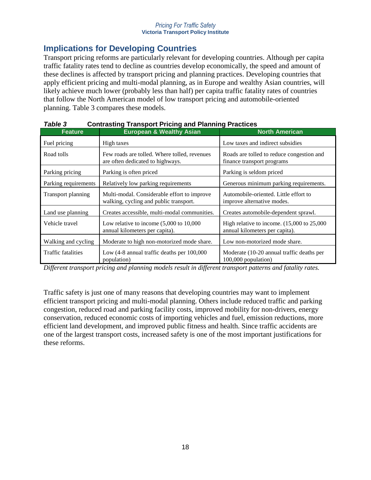# **Implications for Developing Countries**

Transport pricing reforms are particularly relevant for developing countries. Although per capita traffic fatality rates tend to decline as countries develop economically, the speed and amount of these declines is affected by transport pricing and planning practices. Developing countries that apply efficient pricing and multi-modal planning, as in Europe and wealthy Asian countries, will likely achieve much lower (probably less than half) per capita traffic fatality rates of countries that follow the North American model of low transport pricing and automobile-oriented planning. Table 3 compares these models.

| , univ v<br>oonaasung manoport mong ana maning macacco |                                                                                       |                                                                                         |  |  |
|--------------------------------------------------------|---------------------------------------------------------------------------------------|-----------------------------------------------------------------------------------------|--|--|
| <b>Feature</b>                                         | <b>European &amp; Wealthy Asian</b>                                                   | <b>North American</b>                                                                   |  |  |
| Fuel pricing                                           | High taxes                                                                            | Low taxes and indirect subsidies                                                        |  |  |
| Road tolls                                             | Few roads are tolled. Where tolled, revenues<br>are often dedicated to highways.      | Roads are tolled to reduce congestion and<br>finance transport programs                 |  |  |
| Parking pricing                                        | Parking is often priced                                                               | Parking is seldom priced                                                                |  |  |
| Parking requirements                                   | Relatively low parking requirements                                                   | Generous minimum parking requirements.                                                  |  |  |
| Transport planning                                     | Multi-modal. Considerable effort to improve<br>walking, cycling and public transport. | Automobile-oriented. Little effort to<br>improve alternative modes.                     |  |  |
| Land use planning                                      | Creates accessible, multi-modal communities.                                          | Creates automobile-dependent sprawl.                                                    |  |  |
| Vehicle travel                                         | Low relative to income $(5,000 \text{ to } 10,000$<br>annual kilometers per capita).  | High relative to income. $(15,000 \text{ to } 25,000$<br>annual kilometers per capita). |  |  |
| Walking and cycling                                    | Moderate to high non-motorized mode share.                                            | Low non-motorized mode share.                                                           |  |  |
| <b>Traffic fatalities</b>                              | Low (4-8 annual traffic deaths per 100,000<br>population)                             | Moderate (10-20 annual traffic deaths per<br>100,000 population)                        |  |  |

## *Table 3* **Contrasting Transport Pricing and Planning Practices**

*Different transport pricing and planning models result in different transport patterns and fatality rates.*

Traffic safety is just one of many reasons that developing countries may want to implement efficient transport pricing and multi-modal planning. Others include reduced traffic and parking congestion, reduced road and parking facility costs, improved mobility for non-drivers, energy conservation, reduced economic costs of importing vehicles and fuel, emission reductions, more efficient land development, and improved public fitness and health. Since traffic accidents are one of the largest transport costs, increased safety is one of the most important justifications for these reforms.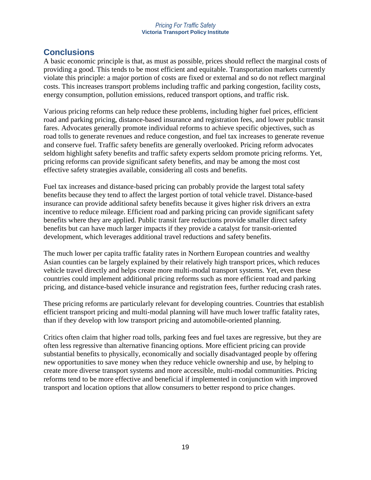# **Conclusions**

A basic economic principle is that, as must as possible, prices should reflect the marginal costs of providing a good. This tends to be most efficient and equitable. Transportation markets currently violate this principle: a major portion of costs are fixed or external and so do not reflect marginal costs. This increases transport problems including traffic and parking congestion, facility costs, energy consumption, pollution emissions, reduced transport options, and traffic risk.

Various pricing reforms can help reduce these problems, including higher fuel prices, efficient road and parking pricing, distance-based insurance and registration fees, and lower public transit fares. Advocates generally promote individual reforms to achieve specific objectives, such as road tolls to generate revenues and reduce congestion, and fuel tax increases to generate revenue and conserve fuel. Traffic safety benefits are generally overlooked. Pricing reform advocates seldom highlight safety benefits and traffic safety experts seldom promote pricing reforms. Yet, pricing reforms can provide significant safety benefits, and may be among the most cost effective safety strategies available, considering all costs and benefits.

Fuel tax increases and distance-based pricing can probably provide the largest total safety benefits because they tend to affect the largest portion of total vehicle travel. Distance-based insurance can provide additional safety benefits because it gives higher risk drivers an extra incentive to reduce mileage. Efficient road and parking pricing can provide significant safety benefits where they are applied. Public transit fare reductions provide smaller direct safety benefits but can have much larger impacts if they provide a catalyst for transit-oriented development, which leverages additional travel reductions and safety benefits.

The much lower per capita traffic fatality rates in Northern European countries and wealthy Asian counties can be largely explained by their relatively high transport prices, which reduces vehicle travel directly and helps create more multi-modal transport systems. Yet, even these countries could implement additional pricing reforms such as more efficient road and parking pricing, and distance-based vehicle insurance and registration fees, further reducing crash rates.

These pricing reforms are particularly relevant for developing countries. Countries that establish efficient transport pricing and multi-modal planning will have much lower traffic fatality rates, than if they develop with low transport pricing and automobile-oriented planning.

Critics often claim that higher road tolls, parking fees and fuel taxes are regressive, but they are often less regressive than alternative financing options. More efficient pricing can provide substantial benefits to physically, economically and socially disadvantaged people by offering new opportunities to save money when they reduce vehicle ownership and use, by helping to create more diverse transport systems and more accessible, multi-modal communities. Pricing reforms tend to be more effective and beneficial if implemented in conjunction with improved transport and location options that allow consumers to better respond to price changes.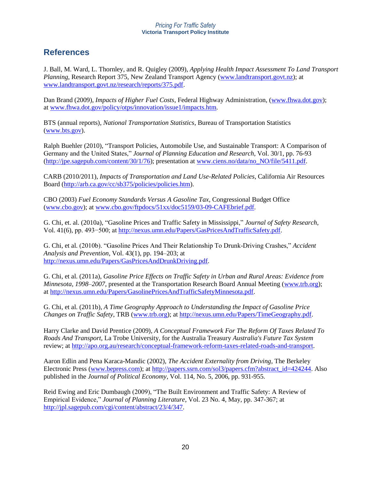# **References**

J. Ball, M. Ward, L. Thornley, and R. Quigley (2009), *Applying Health Impact Assessment To Land Transport Planning*, Research Report 375, New Zealand Transport Agency [\(www.landtransport.govt.nz\)](http://www.landtransport.govt.nz/); at [www.landtransport.govt.nz/research/reports/375.pdf.](http://www.landtransport.govt.nz/research/reports/375.pdf)

Dan Brand (2009), *Impacts of Higher Fuel Costs*, Federal Highway Administration, [\(www.fhwa.dot.gov\)](http://www.fhwa.dot.gov/); at [www.fhwa.dot.gov/policy/otps/innovation/issue1/impacts.htm.](http://www.fhwa.dot.gov/policy/otps/innovation/issue1/impacts.htm)

BTS (annual reports), *National Transportation Statistics*, Bureau of Transportation Statistics [\(www.bts.gov\)](http://www.bts.gov/).

Ralph Buehler (2010), "Transport Policies, Automobile Use, and Sustainable Transport: A Comparison of Germany and the United States," *Journal of Planning Education and Research*, Vol. 30/1, pp. 76-93 [\(http://jpe.sagepub.com/content/30/1/76\)](http://jpe.sagepub.com/content/30/1/76); presentation at [www.ciens.no/data/no\\_NO/file/5411.pdf.](http://www.ciens.no/data/no_NO/file/5411.pdf)

CARB (2010/2011), *Impacts of Transportation and Land Use-Related Policies*, California Air Resources Board [\(http://arb.ca.gov/cc/sb375/policies/policies.htm\)](http://arb.ca.gov/cc/sb375/policies/policies.htm).

CBO (2003) *Fuel Economy Standards Versus A Gasoline Tax*, Congressional Budget Office [\(www.cbo.gov\)](http://www.cbo.gov/); at [www.cbo.gov/ftpdocs/51xx/doc5159/03-09-CAFEbrief.pdf.](http://www.cbo.gov/ftpdocs/51xx/doc5159/03-09-CAFEbrief.pdf)

G. Chi, et. al. (2010a), "Gasoline Prices and Traffic Safety in Mississippi," *Journal of Safety Research*, Vol. 41(6), pp. 493−500; at [http://nexus.umn.edu/Papers/GasPricesAndTrafficSafety.pdf.](http://nexus.umn.edu/Papers/GasPricesAndTrafficSafety.pdf)

G. Chi, et al. (2010b). "Gasoline Prices And Their Relationship To Drunk-Driving Crashes," *Accident Analysis and Prevention*, Vol. 43(1), pp. 194–203; at [http://nexus.umn.edu/Papers/GasPricesAndDrunkDriving.pdf.](http://nexus.umn.edu/Papers/GasPricesAndDrunkDriving.pdf)

G. Chi, et al. (2011a), *Gasoline Price Effects on Traffic Safety in Urban and Rural Areas: Evidence from Minnesota, 1998–2007*, presented at the Transportation Research Board Annual Meeting [\(www.trb.org\)](http://www.trb.org/); at [http://nexus.umn.edu/Papers/GasolinePricesAndTrafficSafetyMinnesota.pdf.](http://nexus.umn.edu/Papers/GasolinePricesAndTrafficSafetyMinnesota.pdf)

G. Chi, et al. (2011b), *A Time Geography Approach to Understanding the Impact of Gasoline Price Changes on Traffic Safety*, TRB [\(www.trb.org\)](http://www.trb.org/); at [http://nexus.umn.edu/Papers/TimeGeography.pdf.](http://nexus.umn.edu/Papers/TimeGeography.pdf)

Harry Clarke and David Prentice (2009), *A Conceptual Framework For The Reform Of Taxes Related To Roads And Transport*, La Trobe University, for the Australia Treasury *Australia's Future Tax System* review; at [http://apo.org.au/research/conceptual-framework-reform-taxes-related-roads-and-transport.](http://apo.org.au/research/conceptual-framework-reform-taxes-related-roads-and-transport)

Aaron Edlin and Pena Karaca-Mandic (2002), *The Accident Externality from Driving*, The Berkeley Electronic Press [\(www.bepress.com\)](http://www.bepress.com/); at [http://papers.ssrn.com/sol3/papers.cfm?abstract\\_id=424244.](http://papers.ssrn.com/sol3/papers.cfm?abstract_id=424244) Also published in the *Journal of Political Economy*, Vol. 114, No. 5, 2006, pp. 931-955.

Reid Ewing and Eric Dumbaugh (2009), "The Built Environment and Traffic Safety: A Review of Empirical Evidence," *Journal of Planning Literature*, Vol. 23 No. 4, May, pp. 347-367; at [http://jpl.sagepub.com/cgi/content/abstract/23/4/347.](http://jpl.sagepub.com/cgi/content/abstract/23/4/347)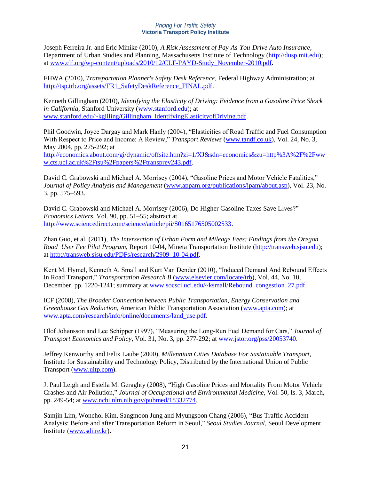Joseph Ferreira Jr. and Eric Minike (2010), *A Risk Assessment of Pay-As-You-Drive Auto Insurance*, Department of Urban Studies and Planning, Massachusetts Institute of Technology [\(http://dusp.mit.edu\)](http://dusp.mit.edu/); at [www.clf.org/wp-content/uploads/2010/12/CLF-PAYD-Study\\_November-2010.pdf.](http://www.clf.org/wp-content/uploads/2010/12/CLF-PAYD-Study_November-2010.pdf)

FHWA (2010), *Transportation Planner's Safety Desk Reference*, Federal Highway Administration; at [http://tsp.trb.org/assets/FR1\\_SafetyDeskReference\\_FINAL.pdf.](http://tsp.trb.org/assets/FR1_SafetyDeskReference_FINAL.pdf)

Kenneth Gillingham (2010), *Identifying the Elasticity of Driving: Evidence from a Gasoline Price Shock in California*, Stanford University [\(www.stanford.edu\)](http://www.stanford.edu/); at [www.stanford.edu/~kgilling/Gillingham\\_IdentifyingElasticityofDriving.pdf.](http://www.stanford.edu/~kgilling/Gillingham_IdentifyingElasticityofDriving.pdf)

Phil Goodwin, Joyce Dargay and Mark Hanly (2004), "Elasticities of Road Traffic and Fuel Consumption With Respect to Price and Income: A Review," *Transport Reviews* [\(www.tandf.co.uk\)](http://www.tandf.co.uk/), Vol. 24, No. 3, May 2004, pp. 275-292; at [http://economics.about.com/gi/dynamic/offsite.htm?zi=1/XJ&sdn=economics&zu=http%3A%2F%2Fww](http://economics.about.com/gi/dynamic/offsite.htm?zi=1/XJ&sdn=economics&zu=http%3A%2F%2Fwww.cts.ucl.ac.uk%2Ftsu%2Fpapers%2Ftransprev243.pdf) [w.cts.ucl.ac.uk%2Ftsu%2Fpapers%2Ftransprev243.pdf.](http://economics.about.com/gi/dynamic/offsite.htm?zi=1/XJ&sdn=economics&zu=http%3A%2F%2Fwww.cts.ucl.ac.uk%2Ftsu%2Fpapers%2Ftransprev243.pdf)

David C. Grabowski and Michael A. Morrisey (2004), "Gasoline Prices and Motor Vehicle Fatalities," *Journal of Policy Analysis and Management* [\(www.appam.org/publications/jpam/about.asp\)](http://www.appam.org/publications/jpam/about.asp), Vol. 23, No. 3, pp. 575–593.

David C. Grabowski and Michael A. Morrisey (2006), Do Higher Gasoline Taxes Save Lives?" *Economics Letters*, Vol. 90, pp. 51–55; abstract at [http://www.sciencedirect.com/science/article/pii/S0165176505002533.](http://www.sciencedirect.com/science/article/pii/S0165176505002533)

Zhan Guo, et al. (2011), *The Intersection of Urban Form and Mileage Fees: Findings from the Oregon Road User Fee Pilot Program*, Report 10-04, Mineta Transportation Institute [\(http://transweb.sjsu.edu\)](http://transweb.sjsu.edu/); at [http://transweb.sjsu.edu/PDFs/research/2909\\_10-04.pdf.](http://transweb.sjsu.edu/PDFs/research/2909_10-04.pdf)

Kent M. Hymel, Kenneth A. Small and Kurt Van Dender (2010), "Induced Demand And Rebound Effects In Road Transport," *Transportation Research B* [\(www.elsevier.com/locate/trb\)](http://www.elsevier.com/locate/trb), Vol. 44, No. 10, December, pp. 1220-1241; summary at [www.socsci.uci.edu/~ksmall/Rebound\\_congestion\\_27.pdf.](http://www.socsci.uci.edu/~ksmall/Rebound_congestion_27.pdf)

ICF (2008), *The Broader Connection between Public Transportation, Energy Conservation and Greenhouse Gas Reduction*, American Public Transportation Association [\(www.apta.com\)](http://www.apta.com/); at [www.apta.com/research/info/online/documents/land\\_use.pdf.](http://www.apta.com/research/info/online/documents/land_use.pdf)

Olof Johansson and Lee Schipper (1997), "Measuring the Long-Run Fuel Demand for Cars," *Journal of Transport Economics and Policy*, Vol. 31, No. 3, pp. 277-292; a[t www.jstor.org/pss/20053740.](http://www.jstor.org/pss/20053740)

Jeffrey Kenworthy and Felix Laube (2000), *Millennium Cities Database For Sustainable Transport*, Institute for Sustainability and Technology Policy, Distributed by the International Union of Public Transport [\(www.uitp.com\)](http://www.uitp.com/).

J. Paul Leigh and Estella M. Geraghty (2008), "High Gasoline Prices and Mortality From Motor Vehicle Crashes and Air Pollution," *Journal of Occupational and Environmental Medicine*, Vol. 50, Is. 3, March, pp. 249-54; at [www.ncbi.nlm.nih.gov/pubmed/18332774.](http://www.ncbi.nlm.nih.gov/pubmed/18332774)

Samjin Lim, Wonchol Kim, Sangmoon Jung and Myungsoon Chang (2006), "Bus Traffic Accident Analysis: Before and after Transportation Reform in Seoul," *Seoul Studies Journal*, Seoul Development Institute [\(www.sdi.re.kr\)](http://www.sdi.re.kr/).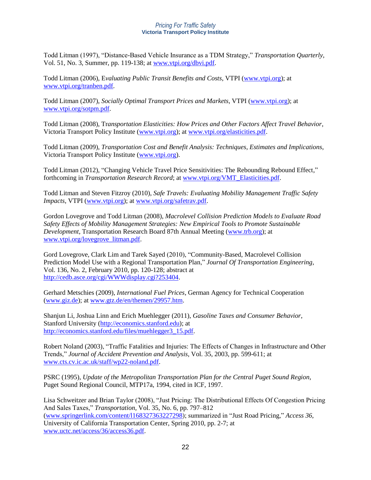Todd Litman (1997), "Distance-Based Vehicle Insurance as a TDM Strategy," *Transportation Quarterly*, Vol. 51, No. 3, Summer, pp. 119-138; at [www.vtpi.org/dbvi.pdf.](http://www.vtpi.org/dbvi.pdf)

Todd Litman (2006), E*valuating Public Transit Benefits and Costs*, VTPI [\(www.vtpi.org\)](http://www.vtpi.org/); at [www.vtpi.org/tranben.pdf.](http://www.vtpi.org/tranben.pdf)

Todd Litman (2007), *Socially Optimal Transport Prices and Markets*, VTPI [\(www.vtpi.org\)](http://www.vtpi.org/); at [www.vtpi.org/sotpm.pdf.](http://www.vtpi.org/sotpm.pdf)

Todd Litman (2008), Tr*ansportation Elasticities: How Prices and Other Factors Affect Travel Behavior*, Victoria Transport Policy Institute [\(www.vtpi.org\)](http://www.vtpi.org/); at [www.vtpi.org/elasticities.pdf.](http://www.vtpi.org/elasticities.pdf)

Todd Litman (2009), *Transportation Cost and Benefit Analysis: Techniques, Estimates and Implications*, Victoria Transport Policy Institute [\(www.vtpi.org\)](http://www.vtpi.org/).

Todd Litman (2012), "Changing Vehicle Travel Price Sensitivities: The Rebounding Rebound Effect," forthcoming in *Transportation Research Record*; at [www.vtpi.org/VMT\\_Elasticities.pdf.](http://www.vtpi.org/VMT_Elasticities.pdf)

Todd Litman and Steven Fitzroy (2010), *Safe Travels: Evaluating Mobility Management Traffic Safety Impacts*, VTPI [\(www.vtpi.org\)](http://www.vtpi.org/); at [www.vtpi.org/safetrav.pdf.](http://www.vtpi.org/safetrav.pdf)

Gordon Lovegrove and Todd Litman (2008), *Macrolevel Collision Prediction Models to Evaluate Road Safety Effects of Mobility Management Strategies: New Empirical Tools to Promote Sustainable Development*, Transportation Research Board 87th Annual Meeting [\(www.trb.org\)](http://www.trb.org/); at [www.vtpi.org/lovegrove\\_litman.pdf.](http://www.vtpi.org/lovegrove_litman.pdf)

Gord Lovegrove, Clark Lim and Tarek Sayed (2010), "Community-Based, Macrolevel Collision Prediction Model Use with a Regional Transportation Plan," *Journal Of Transportation Engineering*, Vol. 136, No. 2, February 2010, pp. 120-128; abstract at [http://cedb.asce.org/cgi/WWWdisplay.cgi?253404.](http://cedb.asce.org/cgi/WWWdisplay.cgi?253404)

Gerhard Metschies (2009), *International Fuel Prices*, German Agency for Technical Cooperation [\(www.giz.de\)](http://www.giz.de/); at [www.gtz.de/en/themen/29957.htm.](http://www.gtz.de/en/themen/29957.htm)

Shanjun Li, Joshua Linn and Erich Muehlegger (2011), *Gasoline Taxes and Consumer Behavior*, Stanford University [\(http://economics.stanford.edu\)](http://economics.stanford.edu/); at [http://economics.stanford.edu/files/muehlegger3\\_15.pdf.](http://economics.stanford.edu/files/muehlegger3_15.pdf)

Robert Noland (2003), "Traffic Fatalities and Injuries: The Effects of Changes in Infrastructure and Other Trends," *Journal of Accident Prevention and Analysis*, Vol. 35, 2003, pp. 599-611; at [www.cts.cv.ic.ac.uk/staff/wp22-noland.pdf.](http://www.cts.cv.ic.ac.uk/staff/wp22-noland.pdf)

PSRC (1995), *Update of the Metropolitan Transportation Plan for the Central Puget Sound Region*, Puget Sound Regional Council, MTP17a, 1994, cited in ICF, 1997.

Lisa Schweitzer and Brian Taylor (2008), "Just Pricing: The Distributional Effects Of Congestion Pricing And Sales Taxes," *Transportation*, Vol. 35, No. 6, pp. 797–812 [\(www.springerlink.com/content/l168327363227298\)](http://www.springerlink.com/content/l168327363227298); summarized in "Just Road Pricing," *Access 36*, University of California Transportation Center, Spring 2010, pp. 2-7; at [www.uctc.net/access/36/access36.pdf.](http://www.uctc.net/access/36/access36.pdf)